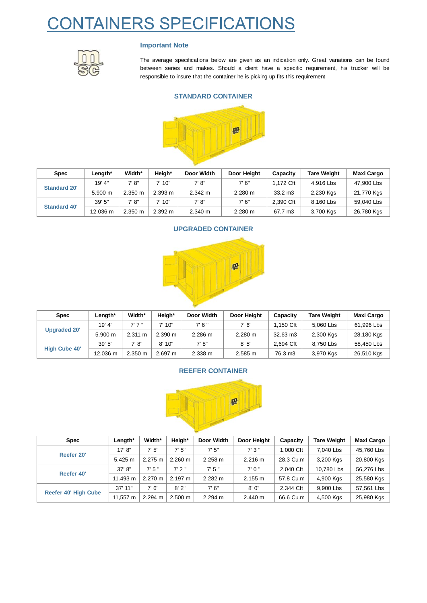# CONTAINERS SPECIFICATIONS



### **Important Note**

The average specifications below are given as an indication only. Great variations can be found between series and makes. Should a client have a specific requirement, his trucker will be responsible to insure that the container he is picking up fits this requirement

#### **STANDARD CONTAINER**



| <b>Spec</b>         | Length*  | Width*            | Heigh*  | Door Width | Door Height       | Capacity          | <b>Tare Weight</b> | <b>Maxi Cargo</b> |
|---------------------|----------|-------------------|---------|------------|-------------------|-------------------|--------------------|-------------------|
| <b>Standard 20'</b> | 19' 4"   | 7' 8"             | 7'10''  | 7' 8''     | 7' 6"             | 1.172 Cft         | 4.916 Lbs          | 47,900 Lbs        |
|                     | 5.900 m  | $2.350 \text{ m}$ | 2.393 m | 2.342 m    | $2.280 \text{ m}$ | $33.2 \text{ m}3$ | 2,230 Kgs          | 21,770 Kgs        |
| <b>Standard 40'</b> | 39'5''   | 7' 8"             | 7'10"   | 7' 8"      | 7' 6"             | 2.390 Cft         | 8.160 Lbs          | 59.040 Lbs        |
|                     | 12.036 m | $2.350 \text{ m}$ | 2.392 m | 2.340 m    | $2.280 \text{ m}$ | 67.7 m3           | 3,700 Kgs          | 26,780 Kgs        |



| <b>Spec</b>          | Length*  | Width*            | Heigh*  | Door Width | Door Height       | Capacity        | <b>Tare Weight</b> | <b>Maxi Cargo</b> |
|----------------------|----------|-------------------|---------|------------|-------------------|-----------------|--------------------|-------------------|
| <b>Upgraded 20'</b>  | 19' 4"   | 7'7''             | 7'10"   | 7'6''      | 7'6''             | <b>∴150 Cft</b> | 5.060 Lbs          | 61,996 Lbs        |
|                      | 5.900 m  | $2.311 \text{ m}$ | 2.390 m | 2.286 m    | $2.280 \text{ m}$ | 32.63 m3        | 2,300 Kgs          | 28,180 Kgs        |
| <b>High Cube 40'</b> | 39'5''   | 7' 8"             | 8'10"   | 7' 8''     | 8'5''             | 2.694 Cft       | 8,750 Lbs          | 58,450 Lbs        |
|                      | 12.036 m | $2.350 \text{ m}$ | 2.697 m | 2.338 m    | 2.585 m           | 76.3 m3         | 3,970 Kgs          | 26,510 Kgs        |

#### **REEFER CONTAINER**



| <b>Spec</b>                 | Length*     | Width*            | Heigh*            | Door Width | Door Height       | Capacity  | <b>Tare Weight</b> | <b>Maxi Cargo</b> |
|-----------------------------|-------------|-------------------|-------------------|------------|-------------------|-----------|--------------------|-------------------|
| Reefer 20'                  | 17' 8''     | 7'5''             | 7'5''             | 7'5''      | 7'3''             | 1.000 Cft | 7.040 Lbs          | 45.760 Lbs        |
|                             | 5.425 m     | 2.275 m           | $2.260 \text{ m}$ | 2.258 m    | 2.216 m           | 28.3 Cu.m | 3,200 Kgs          | 20,800 Kgs        |
|                             | $37'$ $8''$ | 7'5''             | $7'$ 2"           | 7'5''      | 7'0''             | 2.040 Cft | 10.780 Lbs         | 56.276 Lbs        |
| Reefer 40'                  | 11.493 m    | $2.270 \text{ m}$ | $2.197 \text{ m}$ | 2.282 m    | 2.155 m           | 57.8 Cu.m | 4,900 Kgs          | 25,580 Kgs        |
| <b>Reefer 40' High Cube</b> | $37'$ 11"   | 7' 6"             | 8'2"              | 7'6''      | 8'0''             | 2.344 Cft | 9.900 Lbs          | 57.561 Lbs        |
|                             | 11,557 m    | 2.294 m           | 2.500 m           | 2.294 m    | $2.440 \text{ m}$ | 66.6 Cu.m | 4,500 Kgs          | 25,980 Kgs        |